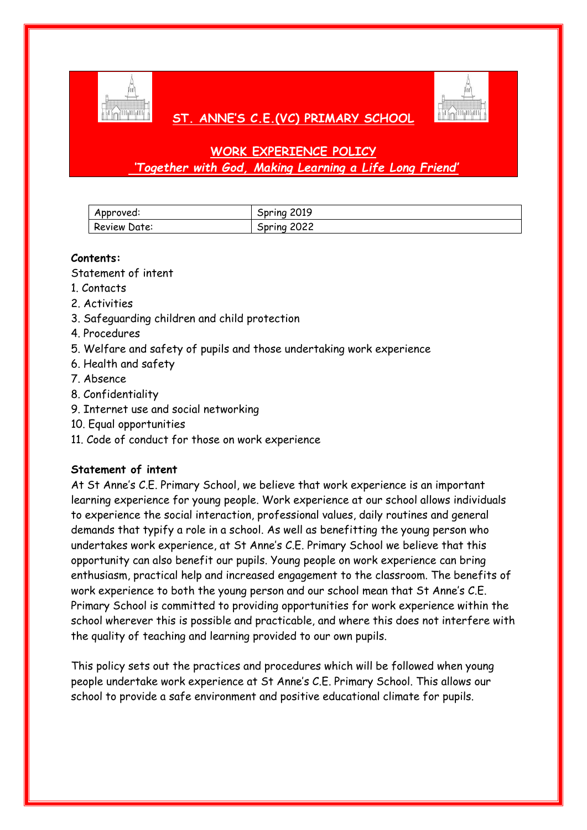

# **ST. ANNE'S C.E.(VC) PRIMARY SCHOOL**



# **WORK EXPERIENCE POLICY** *'Together with God, Making Learning a Life Long Friend'*

| Approved:    | Spring 2019 |
|--------------|-------------|
| Review Date: | Spring 2022 |

# **Contents:**

Statement of intent

- 1. Contacts
- 2. Activities
- 3. Safeguarding children and child protection
- 4. Procedures
- 5. Welfare and safety of pupils and those undertaking work experience
- 6. Health and safety
- 7. Absence
- 8. Confidentiality
- 9. Internet use and social networking
- 10. Equal opportunities
- 11. Code of conduct for those on work experience

## **Statement of intent**

At St Anne's C.E. Primary School, we believe that work experience is an important learning experience for young people. Work experience at our school allows individuals to experience the social interaction, professional values, daily routines and general demands that typify a role in a school. As well as benefitting the young person who undertakes work experience, at St Anne's C.E. Primary School we believe that this opportunity can also benefit our pupils. Young people on work experience can bring enthusiasm, practical help and increased engagement to the classroom. The benefits of work experience to both the young person and our school mean that St Anne's C.E. Primary School is committed to providing opportunities for work experience within the school wherever this is possible and practicable, and where this does not interfere with the quality of teaching and learning provided to our own pupils.

This policy sets out the practices and procedures which will be followed when young people undertake work experience at St Anne's C.E. Primary School. This allows our school to provide a safe environment and positive educational climate for pupils.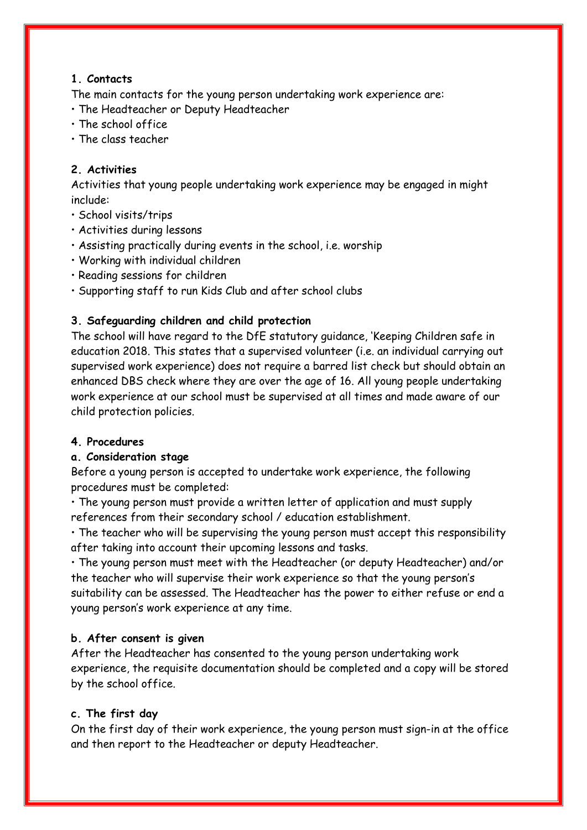# **1. Contacts**

The main contacts for the young person undertaking work experience are:

- The Headteacher or Deputy Headteacher
- The school office
- The class teacher

# **2. Activities**

Activities that young people undertaking work experience may be engaged in might include:

- School visits/trips
- Activities during lessons
- Assisting practically during events in the school, i.e. worship
- Working with individual children
- Reading sessions for children
- Supporting staff to run Kids Club and after school clubs

# **3. Safeguarding children and child protection**

The school will have regard to the DfE statutory guidance, 'Keeping Children safe in education 2018. This states that a supervised volunteer (i.e. an individual carrying out supervised work experience) does not require a barred list check but should obtain an enhanced DBS check where they are over the age of 16. All young people undertaking work experience at our school must be supervised at all times and made aware of our child protection policies.

## **4. Procedures**

## **a. Consideration stage**

Before a young person is accepted to undertake work experience, the following procedures must be completed:

• The young person must provide a written letter of application and must supply references from their secondary school / education establishment.

• The teacher who will be supervising the young person must accept this responsibility after taking into account their upcoming lessons and tasks.

• The young person must meet with the Headteacher (or deputy Headteacher) and/or the teacher who will supervise their work experience so that the young person's suitability can be assessed. The Headteacher has the power to either refuse or end a young person's work experience at any time.

## **b. After consent is given**

After the Headteacher has consented to the young person undertaking work experience, the requisite documentation should be completed and a copy will be stored by the school office.

## **c. The first day**

On the first day of their work experience, the young person must sign-in at the office and then report to the Headteacher or deputy Headteacher.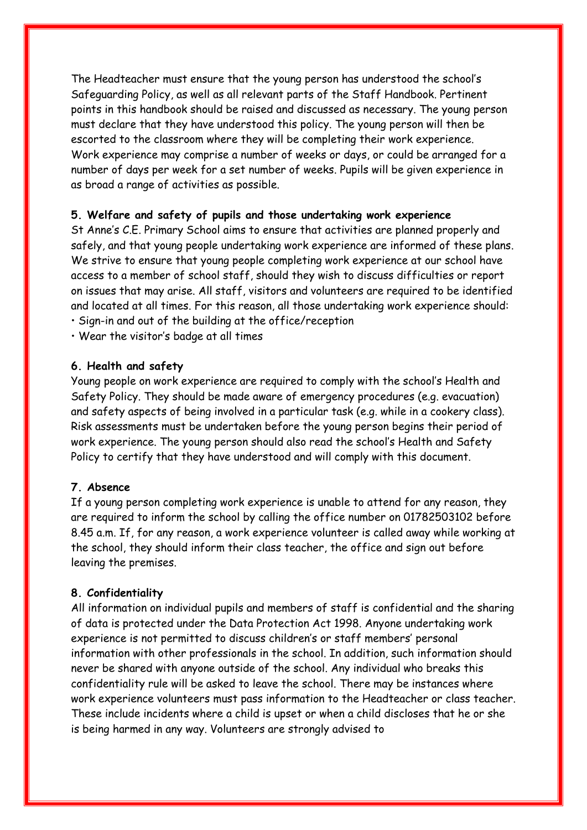The Headteacher must ensure that the young person has understood the school's Safeguarding Policy, as well as all relevant parts of the Staff Handbook. Pertinent points in this handbook should be raised and discussed as necessary. The young person must declare that they have understood this policy. The young person will then be escorted to the classroom where they will be completing their work experience. Work experience may comprise a number of weeks or days, or could be arranged for a number of days per week for a set number of weeks. Pupils will be given experience in as broad a range of activities as possible.

#### **5. Welfare and safety of pupils and those undertaking work experience**

St Anne's C.E. Primary School aims to ensure that activities are planned properly and safely, and that young people undertaking work experience are informed of these plans. We strive to ensure that young people completing work experience at our school have access to a member of school staff, should they wish to discuss difficulties or report on issues that may arise. All staff, visitors and volunteers are required to be identified and located at all times. For this reason, all those undertaking work experience should:

- Sign-in and out of the building at the office/reception
- Wear the visitor's badge at all times

#### **6. Health and safety**

Young people on work experience are required to comply with the school's Health and Safety Policy. They should be made aware of emergency procedures (e.g. evacuation) and safety aspects of being involved in a particular task (e.g. while in a cookery class). Risk assessments must be undertaken before the young person begins their period of work experience. The young person should also read the school's Health and Safety Policy to certify that they have understood and will comply with this document.

## **7. Absence**

If a young person completing work experience is unable to attend for any reason, they are required to inform the school by calling the office number on 01782503102 before 8.45 a.m. If, for any reason, a work experience volunteer is called away while working at the school, they should inform their class teacher, the office and sign out before leaving the premises.

#### **8. Confidentiality**

All information on individual pupils and members of staff is confidential and the sharing of data is protected under the Data Protection Act 1998. Anyone undertaking work experience is not permitted to discuss children's or staff members' personal information with other professionals in the school. In addition, such information should never be shared with anyone outside of the school. Any individual who breaks this confidentiality rule will be asked to leave the school. There may be instances where work experience volunteers must pass information to the Headteacher or class teacher. These include incidents where a child is upset or when a child discloses that he or she is being harmed in any way. Volunteers are strongly advised to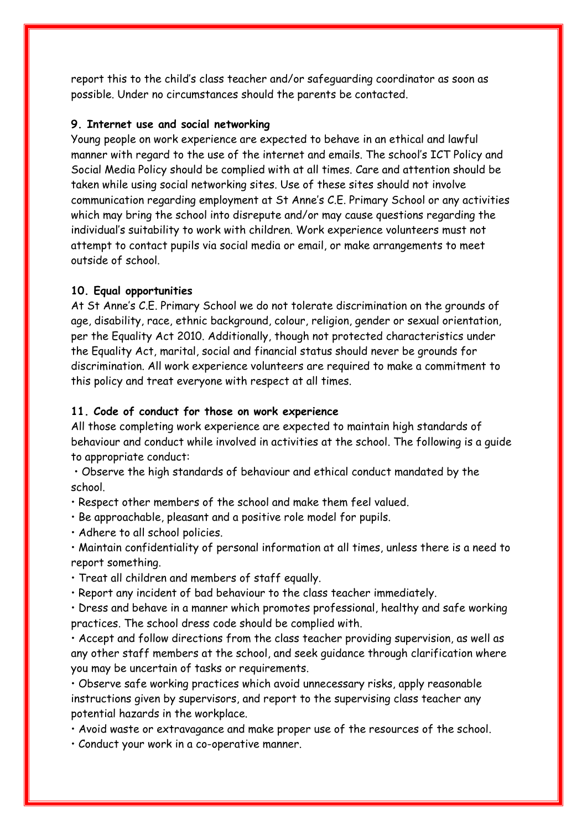report this to the child's class teacher and/or safeguarding coordinator as soon as possible. Under no circumstances should the parents be contacted.

#### **9. Internet use and social networking**

Young people on work experience are expected to behave in an ethical and lawful manner with regard to the use of the internet and emails. The school's ICT Policy and Social Media Policy should be complied with at all times. Care and attention should be taken while using social networking sites. Use of these sites should not involve communication regarding employment at St Anne's C.E. Primary School or any activities which may bring the school into disrepute and/or may cause questions regarding the individual's suitability to work with children. Work experience volunteers must not attempt to contact pupils via social media or email, or make arrangements to meet outside of school.

#### **10. Equal opportunities**

At St Anne's C.E. Primary School we do not tolerate discrimination on the grounds of age, disability, race, ethnic background, colour, religion, gender or sexual orientation, per the Equality Act 2010. Additionally, though not protected characteristics under the Equality Act, marital, social and financial status should never be grounds for discrimination. All work experience volunteers are required to make a commitment to this policy and treat everyone with respect at all times.

#### **11. Code of conduct for those on work experience**

All those completing work experience are expected to maintain high standards of behaviour and conduct while involved in activities at the school. The following is a guide to appropriate conduct:

• Observe the high standards of behaviour and ethical conduct mandated by the school.

• Respect other members of the school and make them feel valued.

• Be approachable, pleasant and a positive role model for pupils.

• Adhere to all school policies.

• Maintain confidentiality of personal information at all times, unless there is a need to report something.

• Treat all children and members of staff equally.

• Report any incident of bad behaviour to the class teacher immediately.

• Dress and behave in a manner which promotes professional, healthy and safe working practices. The school dress code should be complied with.

• Accept and follow directions from the class teacher providing supervision, as well as any other staff members at the school, and seek guidance through clarification where you may be uncertain of tasks or requirements.

• Observe safe working practices which avoid unnecessary risks, apply reasonable instructions given by supervisors, and report to the supervising class teacher any potential hazards in the workplace.

• Avoid waste or extravagance and make proper use of the resources of the school.

• Conduct your work in a co-operative manner.